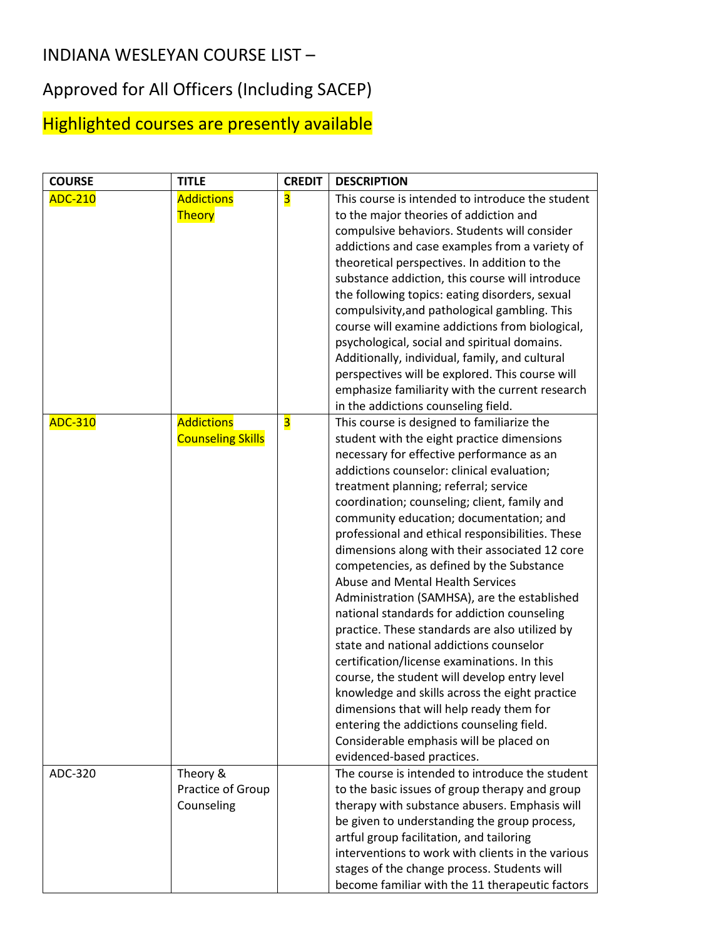## INDIANA WESLEYAN COURSE LIST –

## Approved for All Officers (Including SACEP)

## Highlighted courses are presently available

| <b>COURSE</b>  | <b>TITLE</b>             | <b>CREDIT</b>           | <b>DESCRIPTION</b>                                                                      |
|----------------|--------------------------|-------------------------|-----------------------------------------------------------------------------------------|
| <b>ADC-210</b> | <b>Addictions</b>        | $\overline{\mathbf{3}}$ | This course is intended to introduce the student                                        |
|                | <b>Theory</b>            |                         | to the major theories of addiction and                                                  |
|                |                          |                         | compulsive behaviors. Students will consider                                            |
|                |                          |                         | addictions and case examples from a variety of                                          |
|                |                          |                         | theoretical perspectives. In addition to the                                            |
|                |                          |                         | substance addiction, this course will introduce                                         |
|                |                          |                         | the following topics: eating disorders, sexual                                          |
|                |                          |                         | compulsivity, and pathological gambling. This                                           |
|                |                          |                         | course will examine addictions from biological,                                         |
|                |                          |                         | psychological, social and spiritual domains.                                            |
|                |                          |                         | Additionally, individual, family, and cultural                                          |
|                |                          |                         | perspectives will be explored. This course will                                         |
|                |                          |                         | emphasize familiarity with the current research                                         |
|                |                          |                         | in the addictions counseling field.                                                     |
| <b>ADC-310</b> | <b>Addictions</b>        | $\overline{\mathbf{3}}$ | This course is designed to familiarize the                                              |
|                | <b>Counseling Skills</b> |                         | student with the eight practice dimensions                                              |
|                |                          |                         | necessary for effective performance as an                                               |
|                |                          |                         | addictions counselor: clinical evaluation;                                              |
|                |                          |                         | treatment planning; referral; service                                                   |
|                |                          |                         | coordination; counseling; client, family and<br>community education; documentation; and |
|                |                          |                         | professional and ethical responsibilities. These                                        |
|                |                          |                         | dimensions along with their associated 12 core                                          |
|                |                          |                         | competencies, as defined by the Substance                                               |
|                |                          |                         | Abuse and Mental Health Services                                                        |
|                |                          |                         | Administration (SAMHSA), are the established                                            |
|                |                          |                         | national standards for addiction counseling                                             |
|                |                          |                         | practice. These standards are also utilized by                                          |
|                |                          |                         | state and national addictions counselor                                                 |
|                |                          |                         | certification/license examinations. In this                                             |
|                |                          |                         | course, the student will develop entry level                                            |
|                |                          |                         | knowledge and skills across the eight practice                                          |
|                |                          |                         | dimensions that will help ready them for                                                |
|                |                          |                         | entering the addictions counseling field.                                               |
|                |                          |                         | Considerable emphasis will be placed on                                                 |
|                |                          |                         | evidenced-based practices.                                                              |
| ADC-320        | Theory &                 |                         | The course is intended to introduce the student                                         |
|                | Practice of Group        |                         | to the basic issues of group therapy and group                                          |
|                | Counseling               |                         | therapy with substance abusers. Emphasis will                                           |
|                |                          |                         | be given to understanding the group process,                                            |
|                |                          |                         | artful group facilitation, and tailoring                                                |
|                |                          |                         | interventions to work with clients in the various                                       |
|                |                          |                         | stages of the change process. Students will                                             |
|                |                          |                         | become familiar with the 11 therapeutic factors                                         |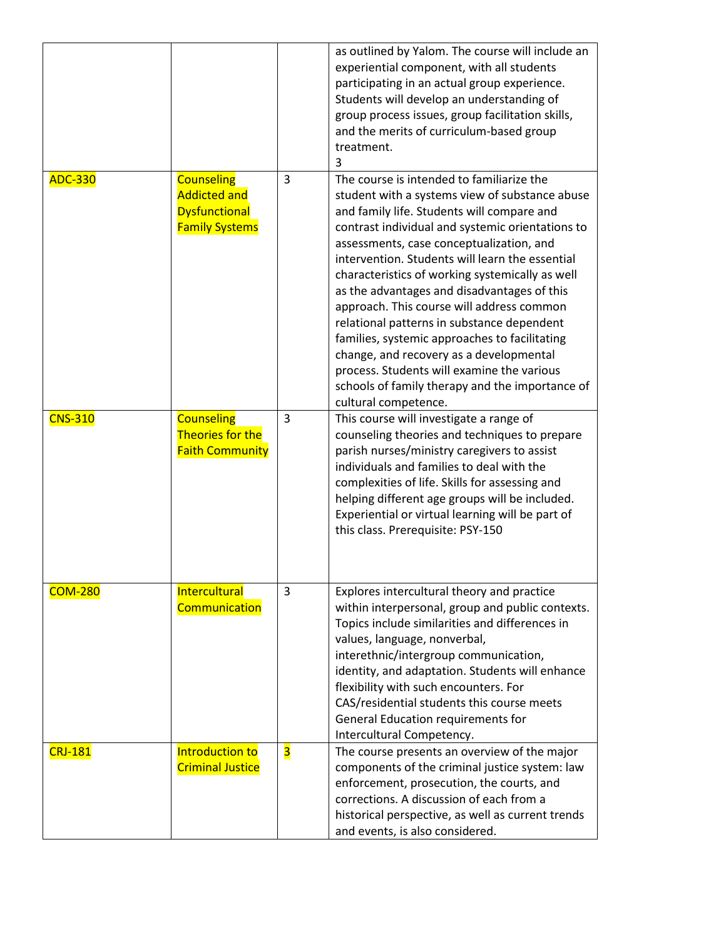|                |                                                                                           |                         | as outlined by Yalom. The course will include an<br>experiential component, with all students<br>participating in an actual group experience.<br>Students will develop an understanding of<br>group process issues, group facilitation skills,<br>and the merits of curriculum-based group<br>treatment.<br>3                                                                                                                                                                                                                                                                                                                                                                                                  |
|----------------|-------------------------------------------------------------------------------------------|-------------------------|----------------------------------------------------------------------------------------------------------------------------------------------------------------------------------------------------------------------------------------------------------------------------------------------------------------------------------------------------------------------------------------------------------------------------------------------------------------------------------------------------------------------------------------------------------------------------------------------------------------------------------------------------------------------------------------------------------------|
| <b>ADC-330</b> | <b>Counseling</b><br><b>Addicted and</b><br><b>Dysfunctional</b><br><b>Family Systems</b> | 3                       | The course is intended to familiarize the<br>student with a systems view of substance abuse<br>and family life. Students will compare and<br>contrast individual and systemic orientations to<br>assessments, case conceptualization, and<br>intervention. Students will learn the essential<br>characteristics of working systemically as well<br>as the advantages and disadvantages of this<br>approach. This course will address common<br>relational patterns in substance dependent<br>families, systemic approaches to facilitating<br>change, and recovery as a developmental<br>process. Students will examine the various<br>schools of family therapy and the importance of<br>cultural competence. |
| <b>CNS-310</b> | <b>Counseling</b><br>Theories for the<br><b>Faith Community</b>                           | $\overline{3}$          | This course will investigate a range of<br>counseling theories and techniques to prepare<br>parish nurses/ministry caregivers to assist<br>individuals and families to deal with the<br>complexities of life. Skills for assessing and<br>helping different age groups will be included.<br>Experiential or virtual learning will be part of<br>this class. Prerequisite: PSY-150                                                                                                                                                                                                                                                                                                                              |
| <b>COM-280</b> | Intercultural<br>Communication                                                            | 3                       | Explores intercultural theory and practice<br>within interpersonal, group and public contexts.<br>Topics include similarities and differences in<br>values, language, nonverbal,<br>interethnic/intergroup communication,<br>identity, and adaptation. Students will enhance<br>flexibility with such encounters. For<br>CAS/residential students this course meets<br>General Education requirements for<br>Intercultural Competency.                                                                                                                                                                                                                                                                         |
| <b>CRJ-181</b> | Introduction to<br><b>Criminal Justice</b>                                                | $\overline{\mathbf{3}}$ | The course presents an overview of the major<br>components of the criminal justice system: law<br>enforcement, prosecution, the courts, and<br>corrections. A discussion of each from a<br>historical perspective, as well as current trends<br>and events, is also considered.                                                                                                                                                                                                                                                                                                                                                                                                                                |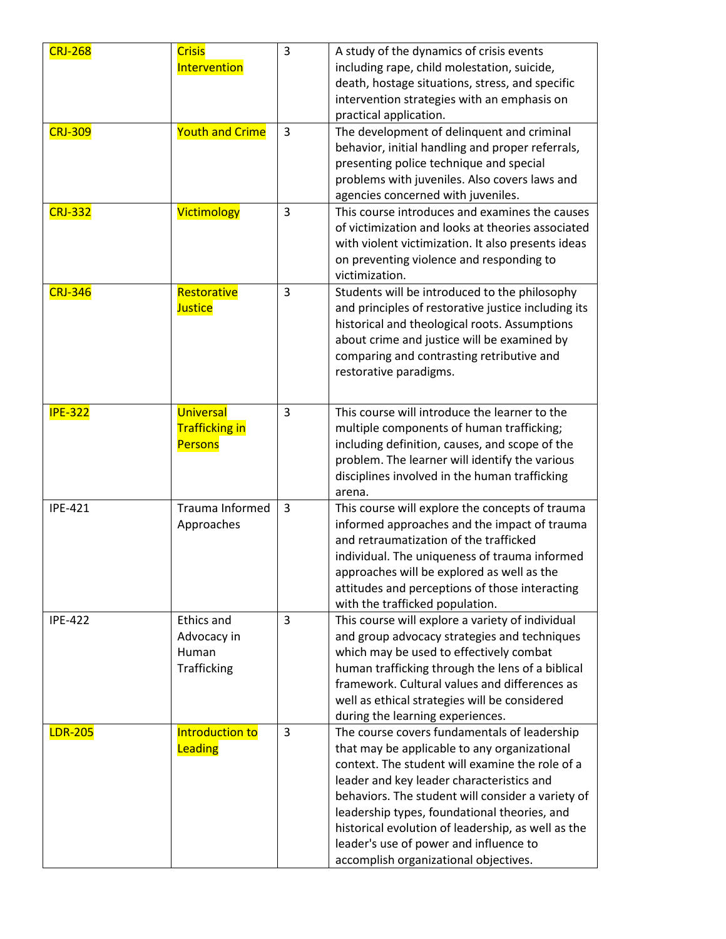| <b>CRJ-268</b> | <b>Crisis</b><br>Intervention                            | 3 | A study of the dynamics of crisis events<br>including rape, child molestation, suicide,<br>death, hostage situations, stress, and specific<br>intervention strategies with an emphasis on<br>practical application.                                                                                                                                                                                                                        |
|----------------|----------------------------------------------------------|---|--------------------------------------------------------------------------------------------------------------------------------------------------------------------------------------------------------------------------------------------------------------------------------------------------------------------------------------------------------------------------------------------------------------------------------------------|
| <b>CRJ-309</b> | <b>Youth and Crime</b>                                   | 3 | The development of delinquent and criminal<br>behavior, initial handling and proper referrals,<br>presenting police technique and special<br>problems with juveniles. Also covers laws and<br>agencies concerned with juveniles.                                                                                                                                                                                                           |
| <b>CRJ-332</b> | Victimology                                              | 3 | This course introduces and examines the causes<br>of victimization and looks at theories associated<br>with violent victimization. It also presents ideas<br>on preventing violence and responding to<br>victimization.                                                                                                                                                                                                                    |
| <b>CRJ-346</b> | Restorative<br><b>Justice</b>                            | 3 | Students will be introduced to the philosophy<br>and principles of restorative justice including its<br>historical and theological roots. Assumptions<br>about crime and justice will be examined by<br>comparing and contrasting retributive and<br>restorative paradigms.                                                                                                                                                                |
| <b>IPE-322</b> | Universal<br><b>Trafficking in</b><br><b>Persons</b>     | 3 | This course will introduce the learner to the<br>multiple components of human trafficking;<br>including definition, causes, and scope of the<br>problem. The learner will identify the various<br>disciplines involved in the human trafficking<br>arena.                                                                                                                                                                                  |
| <b>IPE-421</b> | Trauma Informed<br>Approaches                            | 3 | This course will explore the concepts of trauma<br>informed approaches and the impact of trauma<br>and retraumatization of the trafficked<br>individual. The uniqueness of trauma informed<br>approaches will be explored as well as the<br>attitudes and perceptions of those interacting<br>with the trafficked population.                                                                                                              |
| <b>IPE-422</b> | <b>Ethics and</b><br>Advocacy in<br>Human<br>Trafficking | 3 | This course will explore a variety of individual<br>and group advocacy strategies and techniques<br>which may be used to effectively combat<br>human trafficking through the lens of a biblical<br>framework. Cultural values and differences as<br>well as ethical strategies will be considered<br>during the learning experiences.                                                                                                      |
| <b>LDR-205</b> | Introduction to<br>Leading                               | 3 | The course covers fundamentals of leadership<br>that may be applicable to any organizational<br>context. The student will examine the role of a<br>leader and key leader characteristics and<br>behaviors. The student will consider a variety of<br>leadership types, foundational theories, and<br>historical evolution of leadership, as well as the<br>leader's use of power and influence to<br>accomplish organizational objectives. |